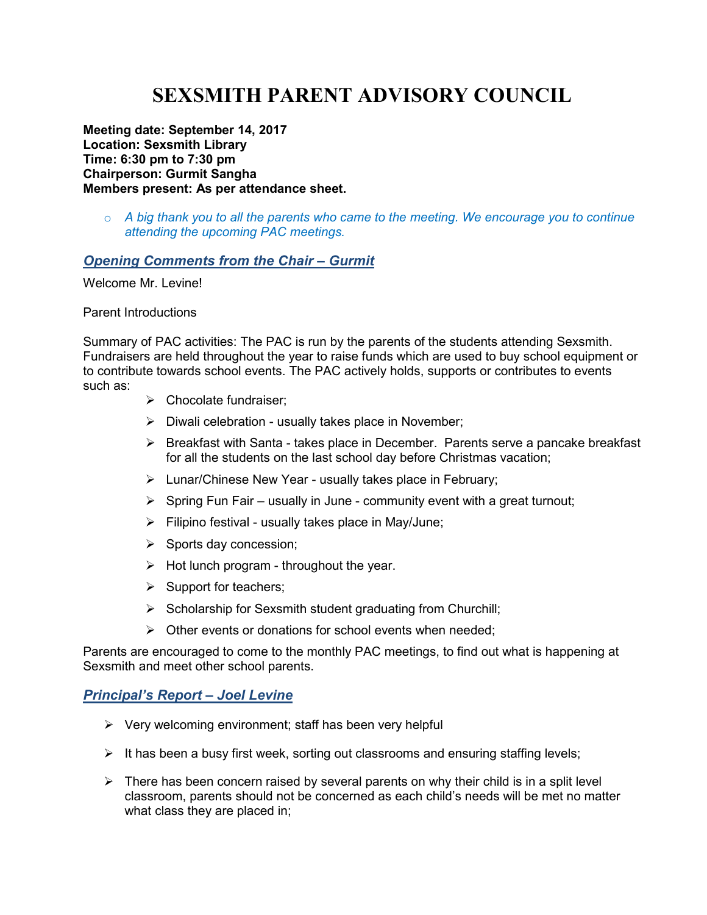# **SEXSMITH PARENT ADVISORY COUNCIL**

**Meeting date: September 14, 2017 Location: Sexsmith Library Time: 6:30 pm to 7:30 pm Chairperson: Gurmit Sangha Members present: As per attendance sheet.** 

o *A big thank you to all the parents who came to the meeting. We encourage you to continue attending the upcoming PAC meetings.* 

## *Opening Comments from the Chair – Gurmit*

Welcome Mr. Levine!

#### Parent Introductions

Summary of PAC activities: The PAC is run by the parents of the students attending Sexsmith. Fundraisers are held throughout the year to raise funds which are used to buy school equipment or to contribute towards school events. The PAC actively holds, supports or contributes to events such as:

- $\triangleright$  Chocolate fundraiser:
- $\triangleright$  Diwali celebration usually takes place in November;
- $\triangleright$  Breakfast with Santa takes place in December. Parents serve a pancake breakfast for all the students on the last school day before Christmas vacation;
- Lunar/Chinese New Year usually takes place in February;
- $\triangleright$  Spring Fun Fair usually in June community event with a great turnout;
- $\triangleright$  Filipino festival usually takes place in May/June;
- $\triangleright$  Sports day concession;
- $\triangleright$  Hot lunch program throughout the year.
- $\triangleright$  Support for teachers;
- $\triangleright$  Scholarship for Sexsmith student graduating from Churchill;
- $\triangleright$  Other events or donations for school events when needed;

Parents are encouraged to come to the monthly PAC meetings, to find out what is happening at Sexsmith and meet other school parents.

## *Principal's Report – Joel Levine*

- $\triangleright$  Very welcoming environment; staff has been very helpful
- $\triangleright$  It has been a busy first week, sorting out classrooms and ensuring staffing levels;
- $\triangleright$  There has been concern raised by several parents on why their child is in a split level classroom, parents should not be concerned as each child's needs will be met no matter what class they are placed in;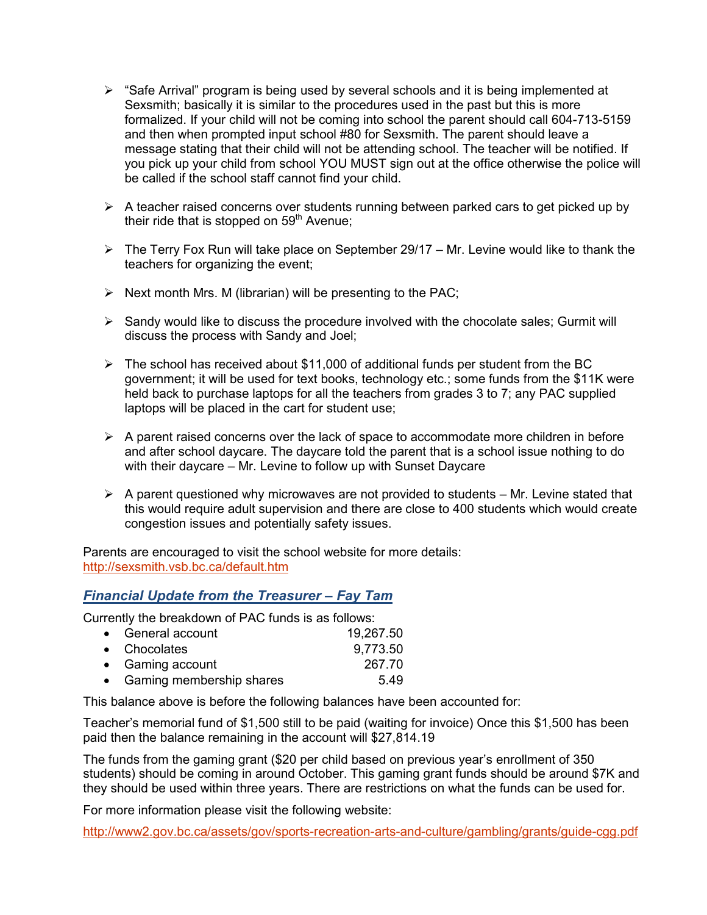- $\triangleright$  "Safe Arrival" program is being used by several schools and it is being implemented at Sexsmith; basically it is similar to the procedures used in the past but this is more formalized. If your child will not be coming into school the parent should call 604-713-5159 and then when prompted input school #80 for Sexsmith. The parent should leave a message stating that their child will not be attending school. The teacher will be notified. If you pick up your child from school YOU MUST sign out at the office otherwise the police will be called if the school staff cannot find your child.
- $\triangleright$  A teacher raised concerns over students running between parked cars to get picked up by their ride that is stopped on  $59<sup>th</sup>$  Avenue;
- $\triangleright$  The Terry Fox Run will take place on September 29/17 Mr. Levine would like to thank the teachers for organizing the event;
- $\triangleright$  Next month Mrs. M (librarian) will be presenting to the PAC;
- $\triangleright$  Sandy would like to discuss the procedure involved with the chocolate sales; Gurmit will discuss the process with Sandy and Joel;
- $\triangleright$  The school has received about \$11,000 of additional funds per student from the BC government; it will be used for text books, technology etc.; some funds from the \$11K were held back to purchase laptops for all the teachers from grades 3 to 7; any PAC supplied laptops will be placed in the cart for student use;
- $\triangleright$  A parent raised concerns over the lack of space to accommodate more children in before and after school daycare. The daycare told the parent that is a school issue nothing to do with their daycare – Mr. Levine to follow up with Sunset Daycare
- $\triangleright$  A parent questioned why microwaves are not provided to students Mr. Levine stated that this would require adult supervision and there are close to 400 students which would create congestion issues and potentially safety issues.

Parents are encouraged to visit the school website for more details: http://sexsmith.vsb.bc.ca/default.htm

## *Financial Update from the Treasurer – Fay Tam*

Currently the breakdown of PAC funds is as follows:

| • General account          | 19,267.50 |
|----------------------------|-----------|
| • Chocolates               | 9,773.50  |
| • Gaming account           | 267.70    |
| • Gaming membership shares | 5.49      |

This balance above is before the following balances have been accounted for:

Teacher's memorial fund of \$1,500 still to be paid (waiting for invoice) Once this \$1,500 has been paid then the balance remaining in the account will \$27,814.19

The funds from the gaming grant (\$20 per child based on previous year's enrollment of 350 students) should be coming in around October. This gaming grant funds should be around \$7K and they should be used within three years. There are restrictions on what the funds can be used for.

For more information please visit the following website:

http://www2.gov.bc.ca/assets/gov/sports-recreation-arts-and-culture/gambling/grants/guide-cgg.pdf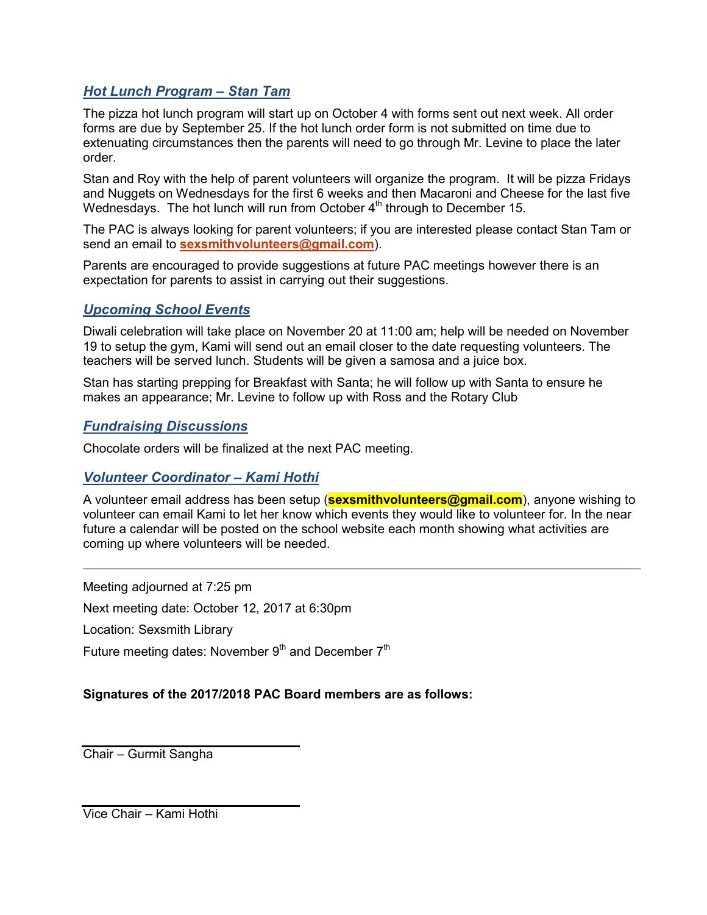## *Hot Lunch Program – Stan Tam*

The pizza hot lunch program will start up on October 4 with forms sent out next week. All order forms are due by September 25. If the hot lunch order form is not submitted on time due to extenuating circumstances then the parents will need to go through Mr. Levine to place the later order.

Stan and Roy with the help of parent volunteers will organize the program. It will be pizza Fridays and Nuggets on Wednesdays for the first 6 weeks and then Macaroni and Cheese for the last five Wednesdays. The hot lunch will run from October 4<sup>th</sup> through to December 15.

The PAC is always looking for parent volunteers; if you are interested please contact Stan Tam or send an email to **sexsmithvolunteers@gmail.com**).

Parents are encouraged to provide suggestions at future PAC meetings however there is an expectation for parents to assist in carrying out their suggestions.

## *Upcoming School Events*

Diwali celebration will take place on November 20 at 11:00 am; help will be needed on November 19 to setup the gym, Kami will send out an email closer to the date requesting volunteers. The teachers will be served lunch. Students will be given a samosa and a juice box.

Stan has starting prepping for Breakfast with Santa; he will follow up with Santa to ensure he makes an appearance; Mr. Levine to follow up with Ross and the Rotary Club

## *Fundraising Discussions*

Chocolate orders will be finalized at the next PAC meeting.

## *Volunteer Coordinator – Kami Hothi*

A volunteer email address has been setup (**sexsmithvolunteers@gmail.com**), anyone wishing to volunteer can email Kami to let her know which events they would like to volunteer for. In the near future a calendar will be posted on the school website each month showing what activities are coming up where volunteers will be needed.

Meeting adjourned at 7:25 pm

Next meeting date: October 12, 2017 at 6:30pm

Location: Sexsmith Library

Future meeting dates: November  $9<sup>th</sup>$  and December  $7<sup>th</sup>$ 

## **Signatures of the 2017/2018 PAC Board members are as follows:**

Chair – Gurmit Sangha

Vice Chair – Kami Hothi